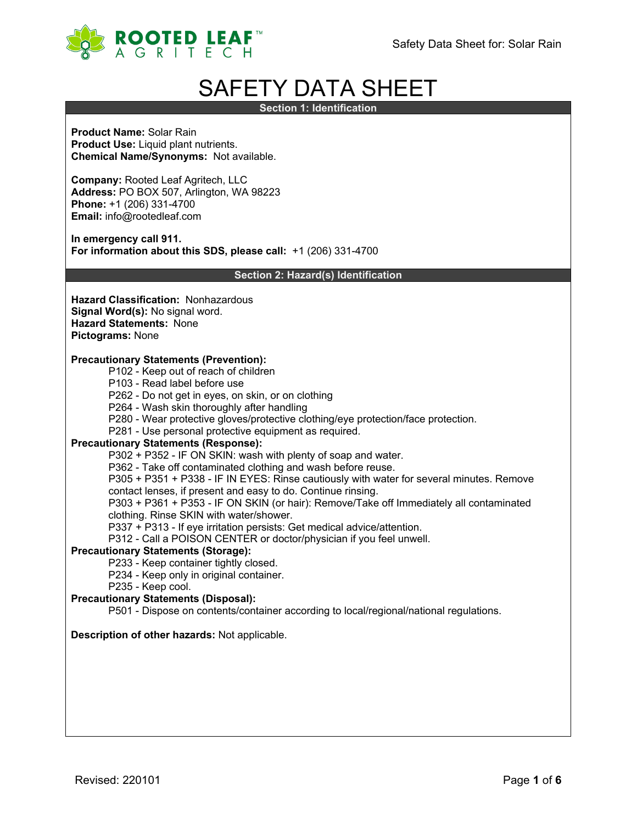

# SAFETY DATA SHEET

**Section 1: Identification**

**Product Name:** Solar Rain **Product Use:** Liquid plant nutrients. **Chemical Name/Synonyms:** Not available.

**Company:** Rooted Leaf Agritech, LLC **Address:** PO BOX 507, Arlington, WA 98223 **Phone:** +1 (206) 331-4700 **Email:** info@rootedleaf.com

**In emergency call 911. For information about this SDS, please call:** +1 (206) 331-4700

**Section 2: Hazard(s) Identification**

**Hazard Classification:** Nonhazardous **Signal Word(s):** No signal word. **Hazard Statements:** None **Pictograms:** None

#### **Precautionary Statements (Prevention):**

- P102 Keep out of reach of children
- P103 Read label before use
- P262 Do not get in eyes, on skin, or on clothing
- P264 Wash skin thoroughly after handling
- P280 Wear protective gloves/protective clothing/eye protection/face protection.
- P281 Use personal protective equipment as required.

#### **Precautionary Statements (Response):**

P302 + P352 - IF ON SKIN: wash with plenty of soap and water.

P362 - Take off contaminated clothing and wash before reuse.

P305 + P351 + P338 - IF IN EYES: Rinse cautiously with water for several minutes. Remove

contact lenses, if present and easy to do. Continue rinsing.

P303 + P361 + P353 - IF ON SKIN (or hair): Remove/Take off Immediately all contaminated clothing. Rinse SKIN with water/shower.

P337 + P313 - If eye irritation persists: Get medical advice/attention.

P312 - Call a POISON CENTER or doctor/physician if you feel unwell.

#### **Precautionary Statements (Storage):**

P233 - Keep container tightly closed.

- P234 Keep only in original container.
- P235 Keep cool.

# **Precautionary Statements (Disposal):**

P501 - Dispose on contents/container according to local/regional/national regulations.

# **Description of other hazards:** Not applicable.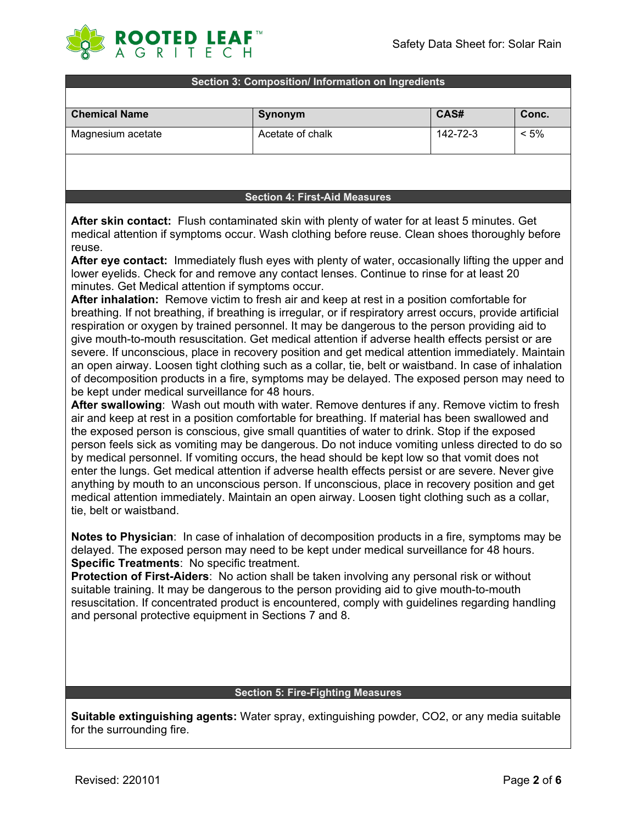

#### **Section 3: Composition/ Information on Ingredients**

| <b>Chemical Name</b> | Synonym          | CAS#     | Conc.   |
|----------------------|------------------|----------|---------|
| Magnesium acetate    | Acetate of chalk | 142-72-3 | $< 5\%$ |
|                      |                  |          |         |

#### **Section 4: First-Aid Measures**

**After skin contact:** Flush contaminated skin with plenty of water for at least 5 minutes. Get medical attention if symptoms occur. Wash clothing before reuse. Clean shoes thoroughly before reuse.

**After eye contact:** Immediately flush eyes with plenty of water, occasionally lifting the upper and lower eyelids. Check for and remove any contact lenses. Continue to rinse for at least 20 minutes. Get Medical attention if symptoms occur.

**After inhalation:** Remove victim to fresh air and keep at rest in a position comfortable for breathing. If not breathing, if breathing is irregular, or if respiratory arrest occurs, provide artificial respiration or oxygen by trained personnel. It may be dangerous to the person providing aid to give mouth-to-mouth resuscitation. Get medical attention if adverse health effects persist or are severe. If unconscious, place in recovery position and get medical attention immediately. Maintain an open airway. Loosen tight clothing such as a collar, tie, belt or waistband. In case of inhalation of decomposition products in a fire, symptoms may be delayed. The exposed person may need to be kept under medical surveillance for 48 hours.

**After swallowing**: Wash out mouth with water. Remove dentures if any. Remove victim to fresh air and keep at rest in a position comfortable for breathing. If material has been swallowed and the exposed person is conscious, give small quantities of water to drink. Stop if the exposed person feels sick as vomiting may be dangerous. Do not induce vomiting unless directed to do so by medical personnel. If vomiting occurs, the head should be kept low so that vomit does not enter the lungs. Get medical attention if adverse health effects persist or are severe. Never give anything by mouth to an unconscious person. If unconscious, place in recovery position and get medical attention immediately. Maintain an open airway. Loosen tight clothing such as a collar, tie, belt or waistband.

**Notes to Physician**: In case of inhalation of decomposition products in a fire, symptoms may be delayed. The exposed person may need to be kept under medical surveillance for 48 hours. **Specific Treatments**: No specific treatment.

**Protection of First-Aiders**: No action shall be taken involving any personal risk or without suitable training. It may be dangerous to the person providing aid to give mouth-to-mouth resuscitation. If concentrated product is encountered, comply with guidelines regarding handling and personal protective equipment in Sections 7 and 8.

#### **Section 5: Fire-Fighting Measures**

**Suitable extinguishing agents:** Water spray, extinguishing powder, CO2, or any media suitable for the surrounding fire.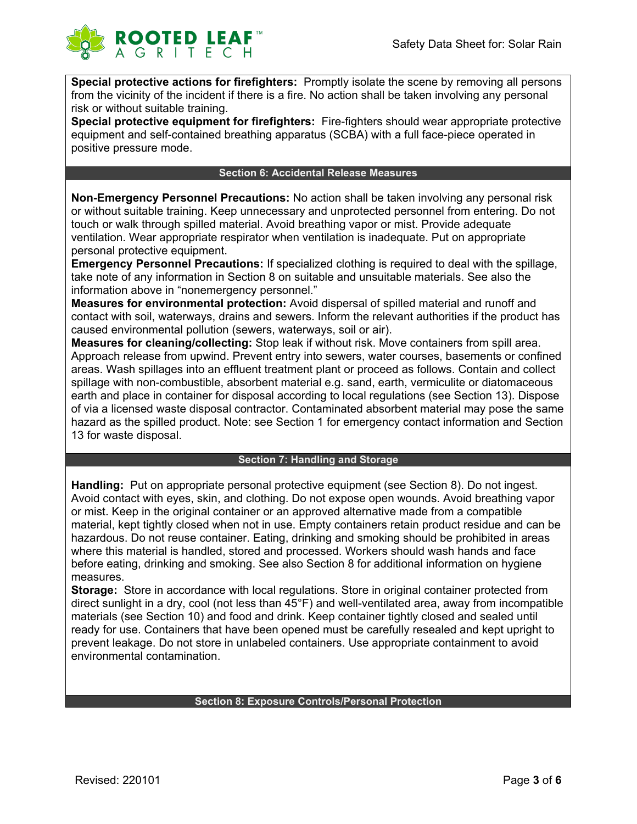

**Special protective actions for firefighters:** Promptly isolate the scene by removing all persons from the vicinity of the incident if there is a fire. No action shall be taken involving any personal risk or without suitable training.

**Special protective equipment for firefighters:** Fire-fighters should wear appropriate protective equipment and self-contained breathing apparatus (SCBA) with a full face-piece operated in positive pressure mode.

#### **Section 6: Accidental Release Measures**

**Non-Emergency Personnel Precautions:** No action shall be taken involving any personal risk or without suitable training. Keep unnecessary and unprotected personnel from entering. Do not touch or walk through spilled material. Avoid breathing vapor or mist. Provide adequate ventilation. Wear appropriate respirator when ventilation is inadequate. Put on appropriate personal protective equipment.

**Emergency Personnel Precautions:** If specialized clothing is required to deal with the spillage, take note of any information in Section 8 on suitable and unsuitable materials. See also the information above in "nonemergency personnel."

**Measures for environmental protection:** Avoid dispersal of spilled material and runoff and contact with soil, waterways, drains and sewers. Inform the relevant authorities if the product has caused environmental pollution (sewers, waterways, soil or air).

**Measures for cleaning/collecting:** Stop leak if without risk. Move containers from spill area. Approach release from upwind. Prevent entry into sewers, water courses, basements or confined areas. Wash spillages into an effluent treatment plant or proceed as follows. Contain and collect spillage with non-combustible, absorbent material e.g. sand, earth, vermiculite or diatomaceous earth and place in container for disposal according to local regulations (see Section 13). Dispose of via a licensed waste disposal contractor. Contaminated absorbent material may pose the same hazard as the spilled product. Note: see Section 1 for emergency contact information and Section 13 for waste disposal.

### **Section 7: Handling and Storage**

**Handling:** Put on appropriate personal protective equipment (see Section 8). Do not ingest. Avoid contact with eyes, skin, and clothing. Do not expose open wounds. Avoid breathing vapor or mist. Keep in the original container or an approved alternative made from a compatible material, kept tightly closed when not in use. Empty containers retain product residue and can be hazardous. Do not reuse container. Eating, drinking and smoking should be prohibited in areas where this material is handled, stored and processed. Workers should wash hands and face before eating, drinking and smoking. See also Section 8 for additional information on hygiene measures.

**Storage:** Store in accordance with local regulations. Store in original container protected from direct sunlight in a dry, cool (not less than 45°F) and well-ventilated area, away from incompatible materials (see Section 10) and food and drink. Keep container tightly closed and sealed until ready for use. Containers that have been opened must be carefully resealed and kept upright to prevent leakage. Do not store in unlabeled containers. Use appropriate containment to avoid environmental contamination.

#### **Section 8: Exposure Controls/Personal Protection**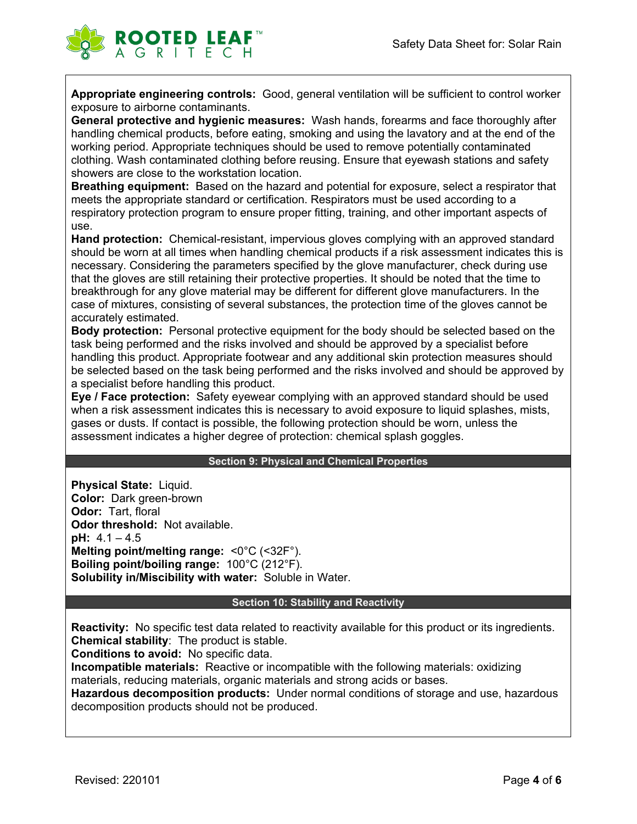

**Appropriate engineering controls:** Good, general ventilation will be sufficient to control worker exposure to airborne contaminants.

**General protective and hygienic measures:** Wash hands, forearms and face thoroughly after handling chemical products, before eating, smoking and using the lavatory and at the end of the working period. Appropriate techniques should be used to remove potentially contaminated clothing. Wash contaminated clothing before reusing. Ensure that eyewash stations and safety showers are close to the workstation location.

**Breathing equipment:** Based on the hazard and potential for exposure, select a respirator that meets the appropriate standard or certification. Respirators must be used according to a respiratory protection program to ensure proper fitting, training, and other important aspects of use.

**Hand protection:** Chemical-resistant, impervious gloves complying with an approved standard should be worn at all times when handling chemical products if a risk assessment indicates this is necessary. Considering the parameters specified by the glove manufacturer, check during use that the gloves are still retaining their protective properties. It should be noted that the time to breakthrough for any glove material may be different for different glove manufacturers. In the case of mixtures, consisting of several substances, the protection time of the gloves cannot be accurately estimated.

**Body protection:** Personal protective equipment for the body should be selected based on the task being performed and the risks involved and should be approved by a specialist before handling this product. Appropriate footwear and any additional skin protection measures should be selected based on the task being performed and the risks involved and should be approved by a specialist before handling this product.

**Eye / Face protection:** Safety eyewear complying with an approved standard should be used when a risk assessment indicates this is necessary to avoid exposure to liquid splashes, mists, gases or dusts. If contact is possible, the following protection should be worn, unless the assessment indicates a higher degree of protection: chemical splash goggles.

#### **Section 9: Physical and Chemical Properties**

**Physical State:** Liquid. **Color:** Dark green-brown **Odor:** Tart, floral **Odor threshold:** Not available. **pH:** 4.1 – 4.5 **Melting point/melting range:** <0°C (<32F°). **Boiling point/boiling range:** 100°C (212°F). **Solubility in/Miscibility with water:** Soluble in Water.

#### **Section 10: Stability and Reactivity**

**Reactivity:** No specific test data related to reactivity available for this product or its ingredients. **Chemical stability**: The product is stable.

**Conditions to avoid:** No specific data.

**Incompatible materials:** Reactive or incompatible with the following materials: oxidizing materials, reducing materials, organic materials and strong acids or bases.

**Hazardous decomposition products:** Under normal conditions of storage and use, hazardous decomposition products should not be produced.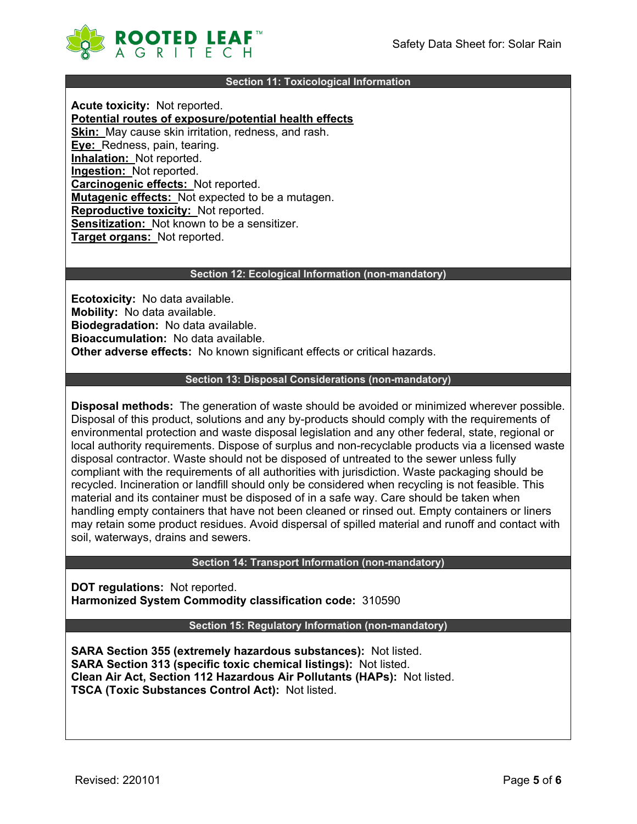

#### **Section 11: Toxicological Information**

**Acute toxicity:** Not reported. **Potential routes of exposure/potential health effects Skin:** May cause skin irritation, redness, and rash. **Eye:** Redness, pain, tearing. **Inhalation:** Not reported. **Ingestion:** Not reported. **Carcinogenic effects:** Not reported. **Mutagenic effects:** Not expected to be a mutagen. **Reproductive toxicity:** Not reported. **Sensitization:** Not known to be a sensitizer. **Target organs:** Not reported.

#### **Section 12: Ecological Information (non-mandatory)**

**Ecotoxicity:** No data available. **Mobility:** No data available. **Biodegradation:** No data available. **Bioaccumulation:** No data available. **Other adverse effects:** No known significant effects or critical hazards.

#### **Section 13: Disposal Considerations (non-mandatory)**

**Disposal methods:** The generation of waste should be avoided or minimized wherever possible. Disposal of this product, solutions and any by-products should comply with the requirements of environmental protection and waste disposal legislation and any other federal, state, regional or local authority requirements. Dispose of surplus and non-recyclable products via a licensed waste disposal contractor. Waste should not be disposed of untreated to the sewer unless fully compliant with the requirements of all authorities with jurisdiction. Waste packaging should be recycled. Incineration or landfill should only be considered when recycling is not feasible. This material and its container must be disposed of in a safe way. Care should be taken when handling empty containers that have not been cleaned or rinsed out. Empty containers or liners may retain some product residues. Avoid dispersal of spilled material and runoff and contact with soil, waterways, drains and sewers.

## **Section 14: Transport Information (non-mandatory)**

**DOT regulations:** Not reported. **Harmonized System Commodity classification code:** 310590

#### **Section 15: Regulatory Information (non-mandatory)**

**SARA Section 355 (extremely hazardous substances):** Not listed. **SARA Section 313 (specific toxic chemical listings):** Not listed. **Clean Air Act, Section 112 Hazardous Air Pollutants (HAPs):** Not listed. **TSCA (Toxic Substances Control Act):** Not listed.